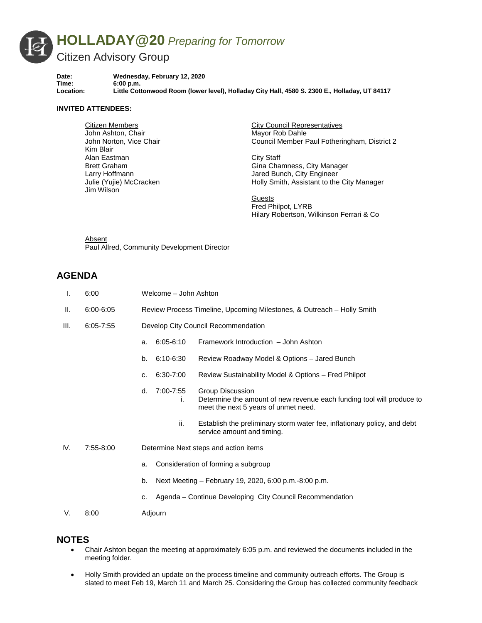

**Date: Wednesday, February 12, 2020** Time: 6:00 p.m.<br>
Location: Little Cott **Location: Little Cottonwood Room (lower level), Holladay City Hall, 4580 S. 2300 E., Holladay, UT 84117**

## **INVITED ATTENDEES:**

Citizen Members John Ashton, Chair John Norton, Vice Chair Kim Blair Alan Eastman Brett Graham Larry Hoffmann Julie (Yujie) McCracken Jim Wilson

City Council Representatives Mayor Rob Dahle Council Member Paul Fotheringham, District 2

City Staff Gina Chamness, City Manager Jared Bunch, City Engineer Holly Smith, Assistant to the City Manager

**Guests** Fred Philpot, LYRB Hilary Robertson, Wilkinson Ferrari & Co

Absent Paul Allred, Community Development Director

## **AGENDA**

| Τ.   | 6:00          | Welcome - John Ashton                                                  |                                                                                                                                   |
|------|---------------|------------------------------------------------------------------------|-----------------------------------------------------------------------------------------------------------------------------------|
| Ш.   | $6:00 - 6:05$ | Review Process Timeline, Upcoming Milestones, & Outreach – Holly Smith |                                                                                                                                   |
| III. | $6:05 - 7:55$ | Develop City Council Recommendation                                    |                                                                                                                                   |
|      |               | $6:05 - 6:10$<br>a.                                                    | Framework Introduction - John Ashton                                                                                              |
|      |               | b.<br>6:10-6:30                                                        | Review Roadway Model & Options - Jared Bunch                                                                                      |
|      |               | 6:30-7:00<br>C <sub>1</sub>                                            | Review Sustainability Model & Options - Fred Philpot                                                                              |
|      |               | 7:00-7:55<br>d.<br>İ.                                                  | Group Discussion<br>Determine the amount of new revenue each funding tool will produce to<br>meet the next 5 years of unmet need. |
|      |               | ii.                                                                    | Establish the preliminary storm water fee, inflationary policy, and debt<br>service amount and timing.                            |
| IV.  | 7:55-8:00     | Determine Next steps and action items                                  |                                                                                                                                   |
|      |               | Consideration of forming a subgroup<br>a.                              |                                                                                                                                   |
|      |               | Next Meeting – February 19, 2020, 6:00 p.m.-8:00 p.m.<br>b.            |                                                                                                                                   |
|      |               | c.                                                                     | Agenda – Continue Developing City Council Recommendation                                                                          |
| V.   | 8:00          | Adjourn                                                                |                                                                                                                                   |
|      |               |                                                                        |                                                                                                                                   |

## **NOTES**

- Chair Ashton began the meeting at approximately 6:05 p.m. and reviewed the documents included in the meeting folder.
- Holly Smith provided an update on the process timeline and community outreach efforts. The Group is slated to meet Feb 19, March 11 and March 25. Considering the Group has collected community feedback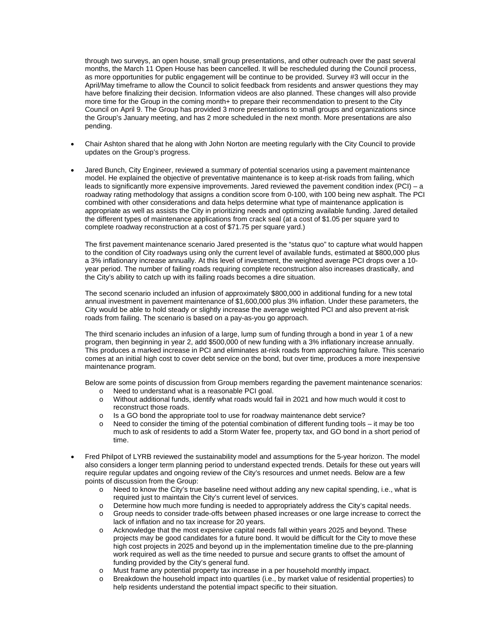through two surveys, an open house, small group presentations, and other outreach over the past several months, the March 11 Open House has been cancelled. It will be rescheduled during the Council process, as more opportunities for public engagement will be continue to be provided. Survey #3 will occur in the April/May timeframe to allow the Council to solicit feedback from residents and answer questions they may have before finalizing their decision. Information videos are also planned. These changes will also provide more time for the Group in the coming month+ to prepare their recommendation to present to the City Council on April 9. The Group has provided 3 more presentations to small groups and organizations since the Group's January meeting, and has 2 more scheduled in the next month. More presentations are also pending.

- Chair Ashton shared that he along with John Norton are meeting regularly with the City Council to provide updates on the Group's progress.
- Jared Bunch, City Engineer, reviewed a summary of potential scenarios using a pavement maintenance model. He explained the objective of preventative maintenance is to keep at-risk roads from failing, which leads to significantly more expensive improvements. Jared reviewed the pavement condition index (PCI) – a roadway rating methodology that assigns a condition score from 0-100, with 100 being new asphalt. The PCI combined with other considerations and data helps determine what type of maintenance application is appropriate as well as assists the City in prioritizing needs and optimizing available funding. Jared detailed the different types of maintenance applications from crack seal (at a cost of \$1.05 per square yard to complete roadway reconstruction at a cost of \$71.75 per square yard.)

The first pavement maintenance scenario Jared presented is the "status quo" to capture what would happen to the condition of City roadways using only the current level of available funds, estimated at \$800,000 plus a 3% inflationary increase annually. At this level of investment, the weighted average PCI drops over a 10 year period. The number of failing roads requiring complete reconstruction also increases drastically, and the City's ability to catch up with its failing roads becomes a dire situation.

The second scenario included an infusion of approximately \$800,000 in additional funding for a new total annual investment in pavement maintenance of \$1,600,000 plus 3% inflation. Under these parameters, the City would be able to hold steady or slightly increase the average weighted PCI and also prevent at-risk roads from failing. The scenario is based on a pay-as-you go approach.

The third scenario includes an infusion of a large, lump sum of funding through a bond in year 1 of a new program, then beginning in year 2, add \$500,000 of new funding with a 3% inflationary increase annually. This produces a marked increase in PCI and eliminates at-risk roads from approaching failure. This scenario comes at an initial high cost to cover debt service on the bond, but over time, produces a more inexpensive maintenance program.

Below are some points of discussion from Group members regarding the pavement maintenance scenarios:

- o Need to understand what is a reasonable PCI goal.<br>
o Without additional funds, identify what roads would
- Without additional funds, identify what roads would fail in 2021 and how much would it cost to reconstruct those roads.
- $\circ$  Is a GO bond the appropriate tool to use for roadway maintenance debt service?<br>
Need to consider the timing of the potential combination of different funding tools
- Need to consider the timing of the potential combination of different funding tools it may be too much to ask of residents to add a Storm Water fee, property tax, and GO bond in a short period of time.
- Fred Philpot of LYRB reviewed the sustainability model and assumptions for the 5-year horizon. The model also considers a longer term planning period to understand expected trends. Details for these out years will require regular updates and ongoing review of the City's resources and unmet needs. Below are a few points of discussion from the Group:
	- o Need to know the City's true baseline need without adding any new capital spending, i.e., what is required just to maintain the City's current level of services.
	- o Determine how much more funding is needed to appropriately address the City's capital needs.
	- o Group needs to consider trade-offs between phased increases or one large increase to correct the lack of inflation and no tax increase for 20 years.
	- o Acknowledge that the most expensive capital needs fall within years 2025 and beyond. These projects may be good candidates for a future bond. It would be difficult for the City to move these high cost projects in 2025 and beyond up in the implementation timeline due to the pre-planning work required as well as the time needed to pursue and secure grants to offset the amount of funding provided by the City's general fund.
	- $\circ$  Must frame any potential property tax increase in a per household monthly impact.<br> $\circ$  Breakdown the household impact into quartiles (i.e., by market value of residential
	- Breakdown the household impact into quartiles (i.e., by market value of residential properties) to help residents understand the potential impact specific to their situation.